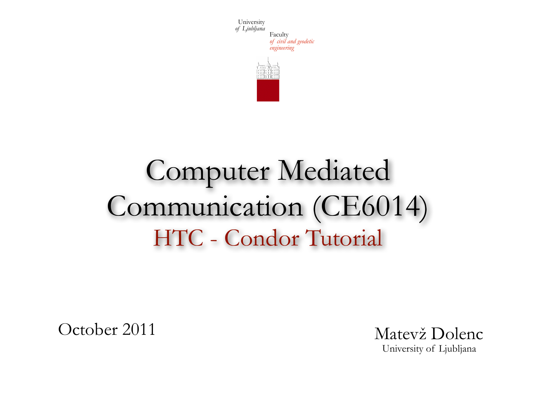



# Computer Mediated Communication (CE6014) HTC - Condor Tutorial

October 2011

Matevž Dolenc University of Ljubljana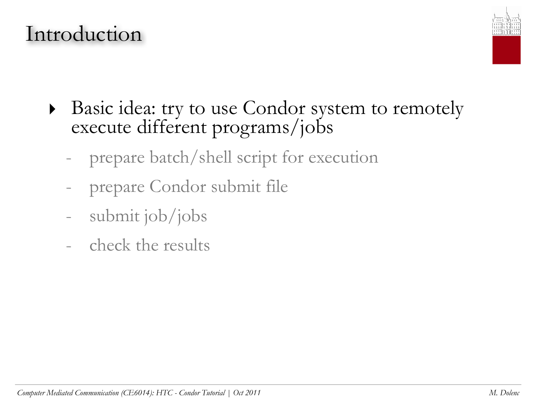### Introduction



- ‣ Basic idea: try to use Condor system to remotely execute different programs/jobs
	- prepare batch/shell script for execution
	- prepare Condor submit file
	- submit job/jobs
	- check the results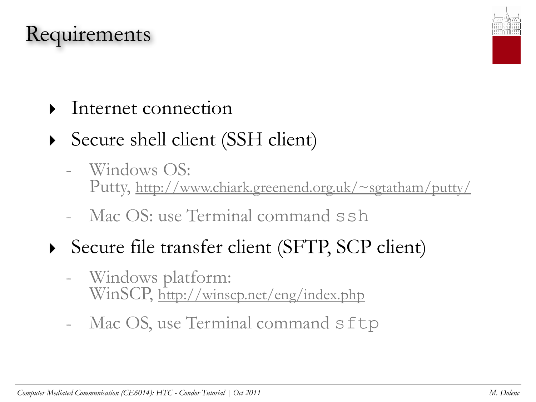### Requirements



- Internet connection
- Secure shell client (SSH client)
	- Windows OS: Putty,<http://www.chiark.greenend.org.uk/~sgtatham/putty/>
	- Mac OS: use Terminal command ssh
- ‣ Secure file transfer client (SFTP, SCP client)
	- Windows platform: WinSCP,<http://winscp.net/eng/index.php>
	- Mac OS, use Terminal command sftp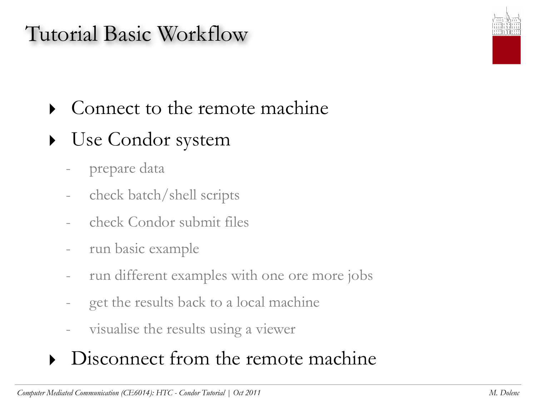## Tutorial Basic Workflow

- ‣ Connect to the remote machine
- ‣ Use Condor system
	- prepare data
	- check batch/shell scripts
	- check Condor submit files
	- run basic example
	- run different examples with one ore more jobs
	- get the results back to a local machine
	- visualise the results using a viewer

#### • Disconnect from the remote machine

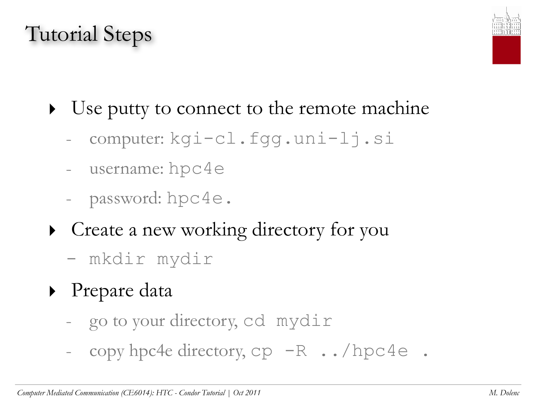# Tutorial Steps



- Use putty to connect to the remote machine
	- computer: kgi-cl.fgg.uni-lj.si
	- username: hpc4e
	- password: hpc4e.
- ‣ Create a new working directory for you
	- mkdir mydir
- ‣ Prepare data
	- go to your directory, cd mydir
	- copy hpc4e directory, cp -R ../hpc4e .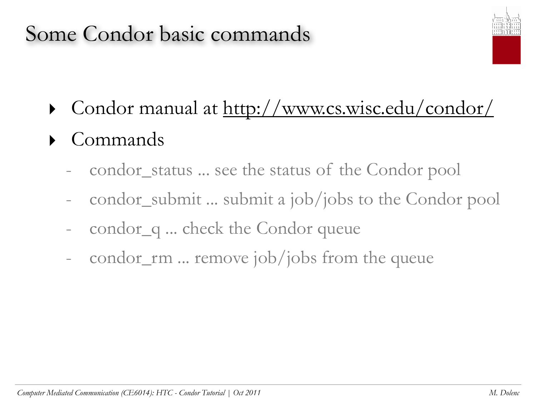## Some Condor basic commands



- ‣ Condor manual at<http://www.cs.wisc.edu/condor/>
- ‣ Commands
	- condor\_status ... see the status of the Condor pool
	- condor\_submit ... submit a job/jobs to the Condor pool
	- condor\_q ... check the Condor queue
	- condor\_rm ... remove job/jobs from the queue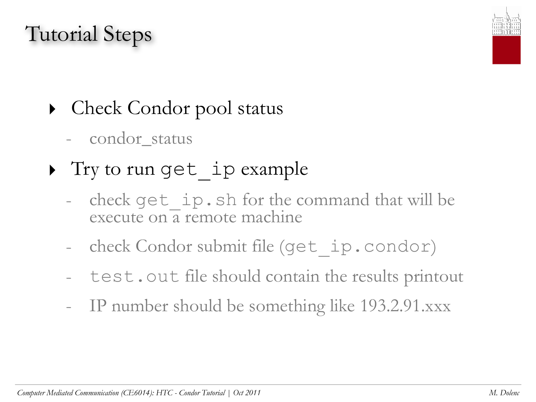# Tutorial Steps



# • Check Condor pool status

- condor\_status
- Try to run get ip example
	- check get ip.sh for the command that will be execute on a remote machine
	- check Condor submit file (get ip.condor)
	- test.out file should contain the results printout
	- IP number should be something like 193.2.91.xxx